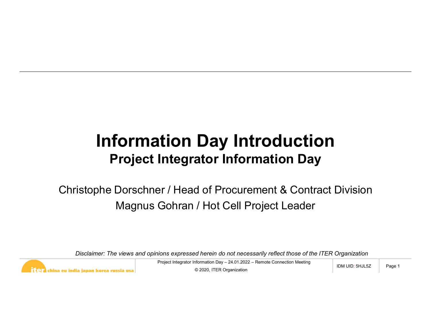## **The Say Introduction**<br>
Integrator Information Day<br>
Project Integrator / Hot Cell Project Leader<br>
Froject Integrator Information Day – 24.01.2022 – Remote Connection Meeting<br>
Project Integrator Information Day – 24.01.2022 **Information Day Introduction**<br>Project Integrator Information Day<br>istophe Dorschner / Head of Procurement & Contract Division<br>Magnus Gohran / Hot Cell Project Leader<br>Disclaimer: The views and opinions expressed herein do n Information Day Introduction Project Integrator Information Day

Christophe Dorschner / Head of Procurement & Contract Division Magnus Gohran / Hot Cell Project Leader



© 2020, ITER Organization

 $IDM$  UID:  $5HJL5Z$  | Page 1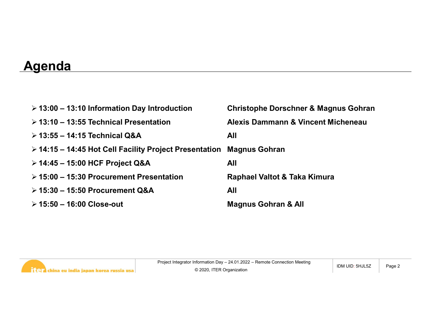## **Agenda**

| <u> Agenda</u>                                         |                                                 |
|--------------------------------------------------------|-------------------------------------------------|
| $\geq$ 13:00 – 13:10 Information Day Introduction      | <b>Christophe Dorschner &amp; Magnus Gohran</b> |
| $\geq$ 13:10 - 13:55 Technical Presentation            | <b>Alexis Dammann &amp; Vincent Micheneau</b>   |
| > 13:55 - 14:15 Technical Q&A                          | <b>All</b>                                      |
| ≻ 14:15 – 14:45 Hot Cell Facility Project Presentation | <b>Magnus Gohran</b>                            |
| > 14:45 - 15:00 HCF Project Q&A                        | <b>All</b>                                      |
| $\geq 15:00 - 15:30$ Procurement Presentation          | Raphael Valtot & Taka Kimura                    |
| $\triangleright$ 15:30 - 15:50 Procurement Q&A         | <b>All</b>                                      |
| $> 15:50 - 16:00$ Close-out                            | <b>Magnus Gohran &amp; All</b>                  |

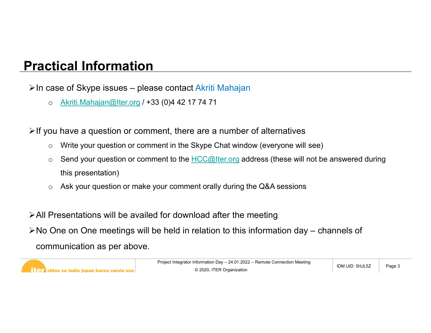## Practical Information

Practical Information<br>En case of Skype issues – please contact Akriti Mahajan<br>○ Akriti Mahajan@lter.org / +33 (0)4 42 17 74 71

o Akriti.Mahajan@Iter.org / +33 (0)4 42 17 74 71

 $\triangleright$  If you have a question or comment, there are a number of alternatives

- o Write your question or comment in the Skype Chat window (everyone will see)
- $\circ$  Send your question or comment to the  $HCC@$ Iter.org address (these will not be answered during this presentation)
- o Ask your question or make your comment orally during the Q&A sessions

All Presentations will be availed for download after the meeting

ent, there are a number of alternatives<br>
ent in the Skype Chat window (everyone will see)<br>
ent to the <u>HCC@Iter.org</u> address (these will not be answered during<br>
bur comment orally during the Q&A sessions<br>
for download aft No One on One meetings will be held in relation to this information day – channels of<br>
Contenting will be held in relation to this information day – channels of<br>
No One on One meetings will be held in relation to this inf communication as per above.



© 2020, ITER Organization

IDM UID: 5HJL5Z | Page 3